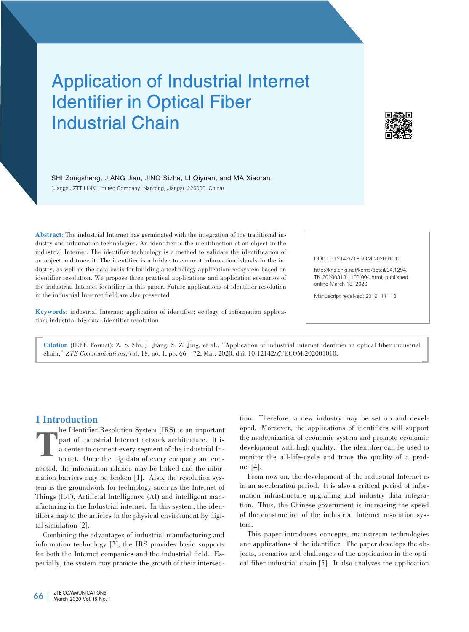# Application of Industrial Internet Identifier in Optical Fiber Industrial Chain



SHI Zongsheng, JIANG Jian, JING Sizhe, LI Qiyuan, and MA Xiaoran (Jiangsu ZTT LINK Limited Company, Nantong, Jiangsu 226000, China)

Abstract: The industrial Internet has germinated with the integration of the traditional industry and information technologies. An identifier is the identification of an object in the industrial Internet. The identifier technology is a method to validate the identification of an object and trace it. The identifier is a bridge to connect information islands in the industry, as well as the data basis for building a technology application ecosystem based on identifier resolution. We propose three practical applications and application scenarios of the industrial Internet identifier in this paper. Future applications of identifier resolution in the industrial Internet field are also presented

DOI: 10.12142/ZTECOM.202001010

http://kns.cnki.net/kcms/detail/34.1294. TN.20200318.1103.004.html, published online March 18, 2020

Manuscript received: 2019-11-18

Keywords: industrial Internet; application of identifier; ecology of information application; industrial big data; identifier resolution

Citation (IEEE Format): Z. S. Shi, J. Jiang, S. Z. Jing, et al.,"Application of industrial internet identifier in optical fiber industrial chain,"*ZTE Communications*, vol. 18, no. 1, pp. 66–72, Mar. 2020. doi: 10.12142/ZTECOM.202001010.

## 1 Introduction

T he Identifier Resolution System (IRS) is an important part of industrial Internet network architecture. It is a center to connect every segment of the industrial Internet. Once the big data of every company are connected, the information islands may be linked and the information barriers may be broken [1]. Also, the resolution system is the groundwork for technology such as the Internet of Things (IoT), Artificial Intelligence (AI) and intelligent manufacturing in the Industrial internet. In this system, the identifiers map to the articles in the physical environment by digital simulation [2].

Combining the advantages of industrial manufacturing and information technology [3], the IRS provides basic supports for both the Internet companies and the industrial field. Especially, the system may promote the growth of their intersec⁃

tion. Therefore, a new industry may be set up and developed. Moreover, the applications of identifiers will support the modernization of economic system and promote economic development with high quality. The identifier can be used to monitor the all-life-cycle and trace the quality of a product [4].

From now on, the development of the industrial Internet is in an acceleration period. It is also a critical period of information infrastructure upgrading and industry data integration. Thus, the Chinese government is increasing the speed of the construction of the industrial Internet resolution system.

This paper introduces concepts, mainstream technologies and applications of the identifier. The paper develops the objects, scenarios and challenges of the application in the optical fiber industrial chain [5]. It also analyzes the application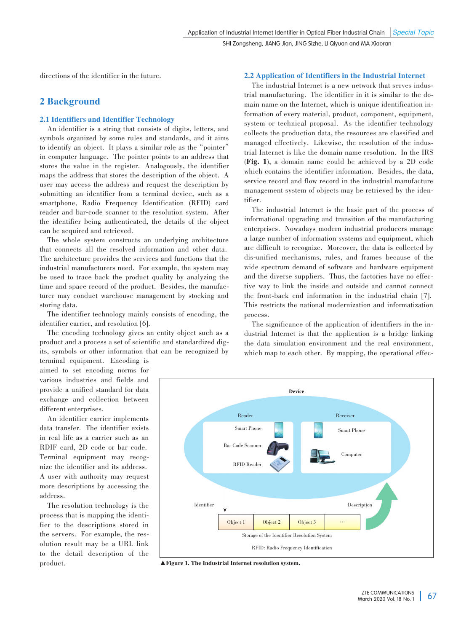directions of the identifier in the future.

## 2 Background

#### 2.1 Identifiers and Identifier Technology

An identifier is a string that consists of digits, letters, and symbols organized by some rules and standards, and it aims to identify an object. It plays a similar role as the "pointer" in computer language. The pointer points to an address that stores the value in the register. Analogously, the identifier maps the address that stores the description of the object. A user may access the address and request the description by submitting an identifier from a terminal device, such as a smartphone, Radio Frequency Identification (RFID) card reader and bar-code scanner to the resolution system. After the identifier being authenticated, the details of the object can be acquired and retrieved.

The whole system constructs an underlying architecture that connects all the resolved information and other data. The architecture provides the services and functions that the industrial manufacturers need. For example, the system may be used to trace back the product quality by analyzing the time and space record of the product. Besides, the manufacturer may conduct warehouse management by stocking and storing data.

The identifier technology mainly consists of encoding, the identifier carrier, and resolution [6].

The encoding technology gives an entity object such as a product and a process a set of scientific and standardized digits, symbols or other information that can be recognized by terminal equipment. Encoding is

aimed to set encoding norms for various industries and fields and provide a unified standard for data exchange and collection between different enterprises.

An identifier carrier implements data transfer. The identifier exists in real life as a carrier such as an RDIF card, 2D code or bar code. Terminal equipment may recognize the identifier and its address. A user with authority may request more descriptions by accessing the address.

The resolution technology is the process that is mapping the identifier to the descriptions stored in the servers. For example, the resolution result may be a URL link to the detail description of the product.

#### 2.2 Application of Identifiers in the Industrial Internet

The industrial Internet is a new network that serves industrial manufacturing. The identifier in it is similar to the domain name on the Internet, which is unique identification information of every material, product, component, equipment, system or technical proposal. As the identifier technology collects the production data, the resources are classified and managed effectively. Likewise, the resolution of the industrial Internet is like the domain name resolution. In the IRS (Fig. 1), a domain name could be achieved by a 2D code which contains the identifier information. Besides, the data, service record and flow record in the industrial manufacture management system of objects may be retrieved by the identifier.

The industrial Internet is the basic part of the process of informational upgrading and transition of the manufacturing enterprises. Nowadays modern industrial producers manage a large number of information systems and equipment, which are difficult to recognize. Moreover, the data is collected by dis-unified mechanisms, rules, and frames because of the wide spectrum demand of software and hardware equipment and the diverse suppliers. Thus, the factories have no effective way to link the inside and outside and cannot connect the front-back end information in the industrial chain [7]. This restricts the national modernization and informatization process.

The significance of the application of identifiers in the industrial Internet is that the application is a bridge linking the data simulation environment and the real environment, which map to each other. By mapping, the operational effec-



▲Figure 1. The Industrial Internet resolution system.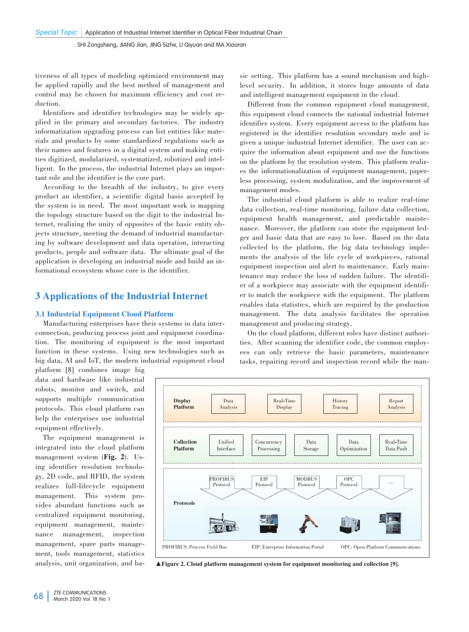tiveness of all types of modeling optimized environment may be applied rapidly and the best method of management and control may be chosen for maximum efficiency and cost reduction.

Identifiers and identifier technologies may be widely applied in the primary and secondary factories. The industry informatization upgrading process can list entities like materials and products by some standardized regulations such as their names and features in a digital system and making entities digitized, modularized, systematized, robotized and intelligent. In the process, the industrial Internet plays an important role and the identifier is the core part.

According to the breadth of the industry, to give every product an identifier, a scientific digital basis accepted by the system is in need. The most important work is mapping the topology structure based on the digit to the industrial Internet, realizing the unity of opposites of the basic entity objects structure, meeting the demand of industrial manufacturing by software development and data operation, interacting products, people and software data. The ultimate goal of the application is developing an industrial mode and build an informational ecosystem whose core is the identifier.

## 3 Applications of the Industrial Internet

#### 3.1 Industrial Equipment Cloud Platform

Manufacturing enterprises have their systems in data interconnection, producing process joint and equipment coordination. The monitoring of equipment is the most important function in these systems. Using new technologies such as big data, AI and IoT, the modern industrial equipment cloud

platform [8] combines image big data and hardware like industrial robots, monitor and switch, and supports multiple communication protocols. This cloud platform can help the enterprises use industrial equipment effectively.

The equipment management is integrated into the cloud platform management system (Fig. 2). Using identifier resolution technology, 2D code, and RFID, the system realizes full-lifecycle equipment management. This system provides abundant functions such as centralized equipment monitoring, equipment management, maintenance management, inspection management, spare parts management, tools management, statistics analysis, unit organization, and ba⁃

sic setting. This platform has a sound mechanism and highlevel security. In addition, it stores huge amounts of data and intelligent management equipment in the cloud.

Different from the common equipment cloud management, this equipment cloud connects the national industrial Internet identifier system. Every equipment access to the platform has registered in the identifier resolution secondary node and is given a unique industrial Internet identifier. The user can acquire the information about equipment and use the functions on the platform by the resolution system. This platform realizes the informationalization of equipment management, paperless processing, system modulization, and the improvement of management modes.

The industrial cloud platform is able to realize real-time data collection, real-time monitoring, failure data collection, equipment health management, and predictable maintenance. Moreover, the platform can store the equipment ledger and basic data that are easy to lose. Based on the data collected by the platform, the big data technology implements the analysis of the life cycle of workpieces, rational equipment inspection and alert to maintenance. Early maintenance may reduce the loss of sudden failure. The identifier of a workpiece may associate with the equipment identifier to match the workpiece with the equipment. The platform enables data statistics, which are required by the production management. The data analysis facilitates the operation management and producing strategy.

On the cloud platform, different roles have distinct authorities. After scanning the identifier code, the common employees can only retrieve the basic parameters, maintenance tasks, repairing record and inspection record while the man-



▲Figure 2. Cloud platform management system for equipment monitoring and collection [9].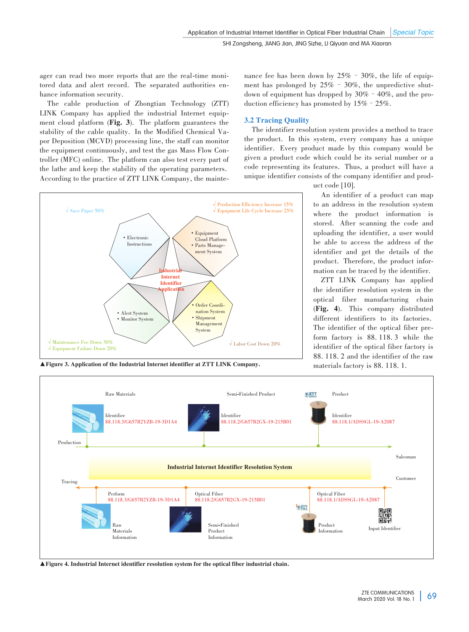ager can read two more reports that are the real-time monitored data and alert record. The separated authorities enhance information security.

The cable production of Zhongtian Technology (ZTT) LINK Company has applied the industrial Internet equipment cloud platform (Fig. 3). The platform guarantees the stability of the cable quality. In the Modified Chemical Vapor Deposition (MCVD) processing line, the staff can monitor the equipment continuously, and test the gas Mass Flow Controller (MFC) online. The platform can also test every part of the lathe and keep the stability of the operating parameters. According to the practice of ZTT LINK Company, the maintenance fee has been down by  $25\%$  –  $30\%$ , the life of equipment has prolonged by  $25\%$  –  $30\%$ , the unpredictive shutdown of equipment has dropped by  $30\%$  -  $40\%$ , and the production efficiency has promoted by  $15\%$  –  $25\%$ .

#### 3.2 Tracing Quality

The identifier resolution system provides a method to trace the product. In this system, every company has a unique identifier. Every product made by this company would be given a product code which could be its serial number or a code representing its features. Thus, a product will have a unique identifier consists of the company identifier and prod-

√ Save Paper 50% √ Production Efficiency Increase 15% √ Equipment Life Cycle Increase 25% √ Maintenance Fee Down 30% √ Equipment Failure Down 20% Instria Internet **Identifier pplicat** • Electronic Instruction • Alert System • Monitor System Order Coordination System • Shipment Management System • Equipment Cloud Platform • Parts Manage ment System √ Labor Cost Down 20%

uct code [10].

An identifier of a product can map to an address in the resolution system where the product information is stored. After scanning the code and uploading the identifier, a user would be able to access the address of the identifier and get the details of the product. Therefore, the product information can be traced by the identifier.

ZTT LINK Company has applied the identifier resolution system in the optical fiber manufacturing chain (Fig. 4). This company distributed different identifiers to its factories. The identifier of the optical fiber preform factory is 88. 118. 3 while the identifier of the optical fiber factory is 88. 118. 2 and the identifier of the raw

A Figure 3. Application of the Industrial Internet identifier at ZTT LINK Company. materials factory is 88. 118. 1.



▲Figure 4. Industrial Internet identifier resolution system for the optical fiber industrial chain.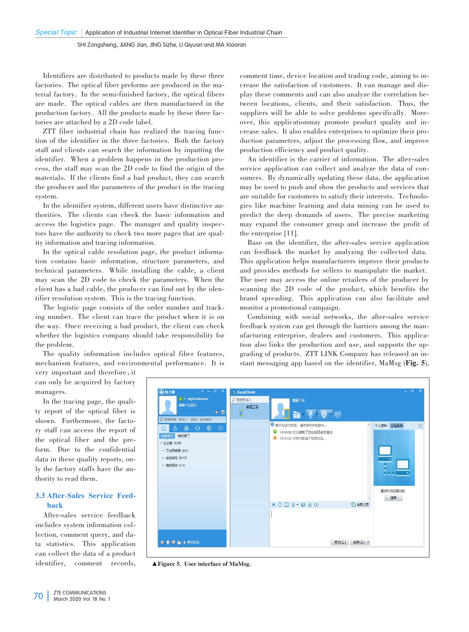Identifiers are distributed to products made by these three factories. The optical fiber preforms are produced in the material factory. In the semi-finished factory, the optical fibers are made. The optical cables are then manufactured in the production factory. All the products made by these three factories are attached by a 2D code label.

ZTT fiber industrial chain has realized the tracing function of the identifier in the three factories. Both the factory staff and clients can search the information by inputting the identifier. When a problem happens in the production process, the staff may scan the 2D code to find the origin of the materials. If the clients find a bad product, they can search the producer and the parameters of the product in the tracing system.

In the identifier system, different users have distinctive authorities. The clients can check the basic information and access the logistics page. The manager and quality inspectors have the authority to check two more pages that are quality information and tracing information.

In the optical cable resolution page, the product information contains basic information, structure parameters, and technical parameters. While installing the cable, a client may scan the 2D code to check the parameters. When the client has a bad cable, the producer can find out by the identifier resolution system. This is the tracing function.

The logistic page consists of the order number and tracking number. The client can trace the product when it is on the way. Once receiving a bad product, the client can check whether the logistics company should take responsibility for the problem.

The quality information includes optical fiber features, mechanism features, and environmental performance. It is

comment time, device location and trading code, aiming to increase the satisfaction of customers. It can manage and dis⁃ play these comments and can also analyze the correlation be⁃ tween locations, clients, and their satisfaction. Thus, the suppliers will be able to solve problems specifically. Moreover, this application may promote product quality and increase sales. It also enables enterprises to optimize their production parameters, adjust the processing flow, and improve production efficiency and product quality.

An identifier is the carrier of information. The after-sales service application can collect and analyze the data of consumers. By dynamically updating these data, the application may be used to push and show the products and services that are suitable for customers to satisfy their interests. Technologies like machine learning and data mining can be used to predict the deep demands of users. The precise marketing may expand the consumer group and increase the profit of the enterprise [11].

Base on the identifier, the after-sales service application can feedback the market by analyzing the collected data. This application helps manufacturers improve their products and provides methods for sellers to manipulate the market. The user may access the online retailers of the producer by scanning the 2D code of the product, which benefits the brand spreading. This application can also facilitate and monitor a promotional campaign.

Combining with social networks, the after-sales service feedback system can get through the barriers among the manufacturing enterprise, dealers and customers. This application also links the production and use, and supports the upgrading of products. ZTT LINK Company has released an instant messaging app based on the identifier, MaMsg (Fig. 5),

very important and therefore, it can only be acquired by factory managers.

In the tracing page, the quality report of the optical fiber is shown. Furthermore, the factory staff can access the report of the optical fiber and the preform. Due to the confidential data in these quality reports, only the factory staffs have the authority to read them.

#### 3.3 After-Sales Service Feedback

After-sales service feedback includes system information col⁃ lection, comment query, and data statistics. This application can collect the data of a product identifier, comment records,



▲Figure 5. User interface of MaMsg.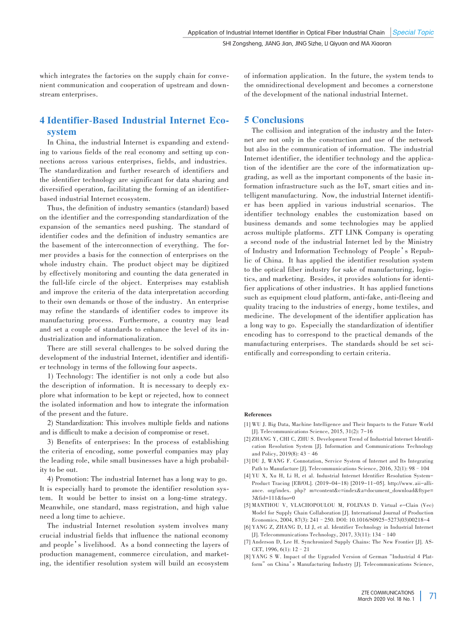which integrates the factories on the supply chain for convenient communication and cooperation of upstream and down⁃ stream enterprises.

# 4 Identifier-Based Industrial Internet Ecosystem

In China, the industrial Internet is expanding and extending to various fields of the real economy and setting up connections across various enterprises, fields, and industries. The standardization and further research of identifiers and the identifier technology are significant for data sharing and diversified operation, facilitating the forming of an identifierbased industrial Internet ecosystem.

Thus, the definition of industry semantics (standard) based on the identifier and the corresponding standardization of the expansion of the semantics need pushing. The standard of identifier codes and the definition of industry semantics are the basement of the interconnection of everything. The former provides a basis for the connection of enterprises on the whole industry chain. The product object may be digitized by effectively monitoring and counting the data generated in the full-life circle of the object. Enterprises may establish and improve the criteria of the data interpretation according to their own demands or those of the industry. An enterprise may refine the standards of identifier codes to improve its manufacturing process. Furthermore, a country may lead and set a couple of standards to enhance the level of its industrialization and informationalization.

There are still several challenges to be solved during the development of the industrial Internet, identifier and identifier technology in terms of the following four aspects.

1) Technology: The identifier is not only a code but also the description of information. It is necessary to deeply explore what information to be kept or rejected, how to connect the isolated information and how to integrate the information of the present and the future.

2) Standardization: This involves multiple fields and nations and is difficult to make a decision of compromise or reset.

3) Benefits of enterprises: In the process of establishing the criteria of encoding, some powerful companies may play the leading role, while small businesses have a high probability to be out.

4) Promotion: The industrial Internet has a long way to go. It is especially hard to promote the identifier resolution system. It would be better to insist on a long-time strategy. Meanwhile, one standard, mass registration, and high value need a long time to achieve.

The industrial Internet resolution system involves many crucial industrial fields that influence the national economy and people's livelihood. As a bond connecting the layers of production management, commerce circulation, and marketing, the identifier resolution system will build an ecosystem of information application. In the future, the system tends to the omnidirectional development and becomes a cornerstone of the development of the national industrial Internet.

### 5 Conclusions

The collision and integration of the industry and the Internet are not only in the construction and use of the network but also in the communication of information. The industrial Internet identifier, the identifier technology and the application of the identifier are the core of the informatization upgrading, as well as the important components of the basic in⁃ formation infrastructure such as the IoT, smart cities and intelligent manufacturing. Now, the industrial Internet identifier has been applied in various industrial scenarios. The identifier technology enables the customization based on business demands and some technologies may be applied across multiple platforms. ZTT LINK Company is operating a second node of the industrial Internet led by the Ministry of Industry and Information Technology of People's Republic of China. It has applied the identifier resolution system to the optical fiber industry for sake of manufacturing, logistics, and marketing. Besides, it provides solutions for identifier applications of other industries. It has applied functions such as equipment cloud platform, anti-fake, anti-fleeing and quality tracing to the industries of energy, home textiles, and medicine. The development of the identifier application has a long way to go. Especially the standardization of identifier encoding has to correspond to the practical demands of the manufacturing enterprises. The standards should be set scientifically and corresponding to certain criteria.

#### References

- [1] WU J. Big Data, Machine Intelligence and Their Impacts to the Future World [J]. Telecommunications Science, 2015, 31(2): 7-16
- [2] ZHANG Y, CHI C, ZHU S. Development Trend of Industrial Internet Identification Resolution System [J]. Information and Communications Technology and Policy, 2019(8): 43–46
- [3] DU J, WANG F. Connotation, Service System of Internet and Its Integrating Path to Manufacture [J]. Telecommunications Science, 2016, 32(1): 98–104
- [4] YU X, Xu H, Li H, et al. Industrial Internet Identifier Resolution System-Product Tracing [EB/OL]. (2019-04-18) [2019-11-05]. http://www.aii-alliance. org/index. php? m=content&c=index&a=document\_download&ftype= 3&fid=111&fno=0
- [5] MANTHOU V, VLACHOPOULOU M, FOLINAS D. Virtual e-Clain (Vec) Model for Supply Chain Collaboration [J]. International Journal of Production Economics, 2004, 87(3): 241–250. DOI: 10.1016/S0925-5273(03)00218-4
- [6] YANG Z, ZHANG D, LI J, et al. Identifier Technology in Industrial Internet [J]. Telecommunications Technology, 2017, 33(11): 134–140
- [7] Anderson D, Lee H. Synchronized Supply Chains: The New Frontier [J]. AS-CET, 1996, 6(1): 12–21
- [8] YANG S W. Impact of the Upgraded Version of German "Industrial 4 Platform" on China's Manufacturing Industry [J]. Telecommunications Science,